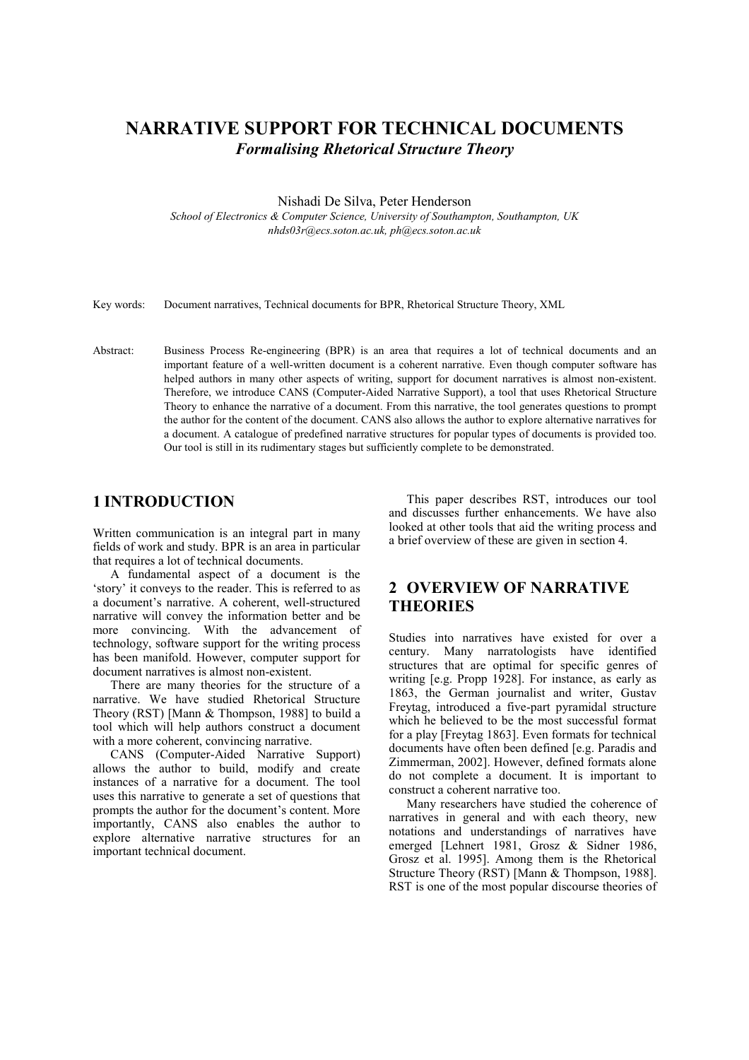# NARRATIVE SUPPORT FOR TECHNICAL DOCUMENTS Formalising Rhetorical Structure Theory

Nishadi De Silva, Peter Henderson

School of Electronics & Computer Science, University of Southampton, Southampton, UK nhds03r@ecs.soton.ac.uk, ph@ecs.soton.ac.uk

Key words: Document narratives, Technical documents for BPR, Rhetorical Structure Theory, XML

Abstract: Business Process Re-engineering (BPR) is an area that requires a lot of technical documents and an important feature of a well-written document is a coherent narrative. Even though computer software has helped authors in many other aspects of writing, support for document narratives is almost non-existent. Therefore, we introduce CANS (Computer-Aided Narrative Support), a tool that uses Rhetorical Structure Theory to enhance the narrative of a document. From this narrative, the tool generates questions to prompt the author for the content of the document. CANS also allows the author to explore alternative narratives for a document. A catalogue of predefined narrative structures for popular types of documents is provided too. Our tool is still in its rudimentary stages but sufficiently complete to be demonstrated.

### 1 INTRODUCTION

Written communication is an integral part in many fields of work and study. BPR is an area in particular that requires a lot of technical documents.

A fundamental aspect of a document is the 'story' it conveys to the reader. This is referred to as a document's narrative. A coherent, well-structured narrative will convey the information better and be more convincing. With the advancement of technology, software support for the writing process has been manifold. However, computer support for document narratives is almost non-existent.

There are many theories for the structure of a narrative. We have studied Rhetorical Structure Theory (RST) [Mann & Thompson, 1988] to build a tool which will help authors construct a document with a more coherent, convincing narrative.

CANS (Computer-Aided Narrative Support) allows the author to build, modify and create instances of a narrative for a document. The tool uses this narrative to generate a set of questions that prompts the author for the document's content. More importantly, CANS also enables the author to explore alternative narrative structures for an important technical document.

This paper describes RST, introduces our tool and discusses further enhancements. We have also looked at other tools that aid the writing process and a brief overview of these are given in section 4.

# 2 OVERVIEW OF NARRATIVE **THEORIES**

Studies into narratives have existed for over a century. Many narratologists have identified structures that are optimal for specific genres of writing [e.g. Propp 1928]. For instance, as early as 1863, the German journalist and writer, Gustav Freytag, introduced a five-part pyramidal structure which he believed to be the most successful format for a play [Freytag 1863]. Even formats for technical documents have often been defined [e.g. Paradis and Zimmerman, 2002]. However, defined formats alone do not complete a document. It is important to construct a coherent narrative too.

Many researchers have studied the coherence of narratives in general and with each theory, new notations and understandings of narratives have emerged [Lehnert 1981, Grosz & Sidner 1986, Grosz et al. 1995]. Among them is the Rhetorical Structure Theory (RST) [Mann & Thompson, 1988]. RST is one of the most popular discourse theories of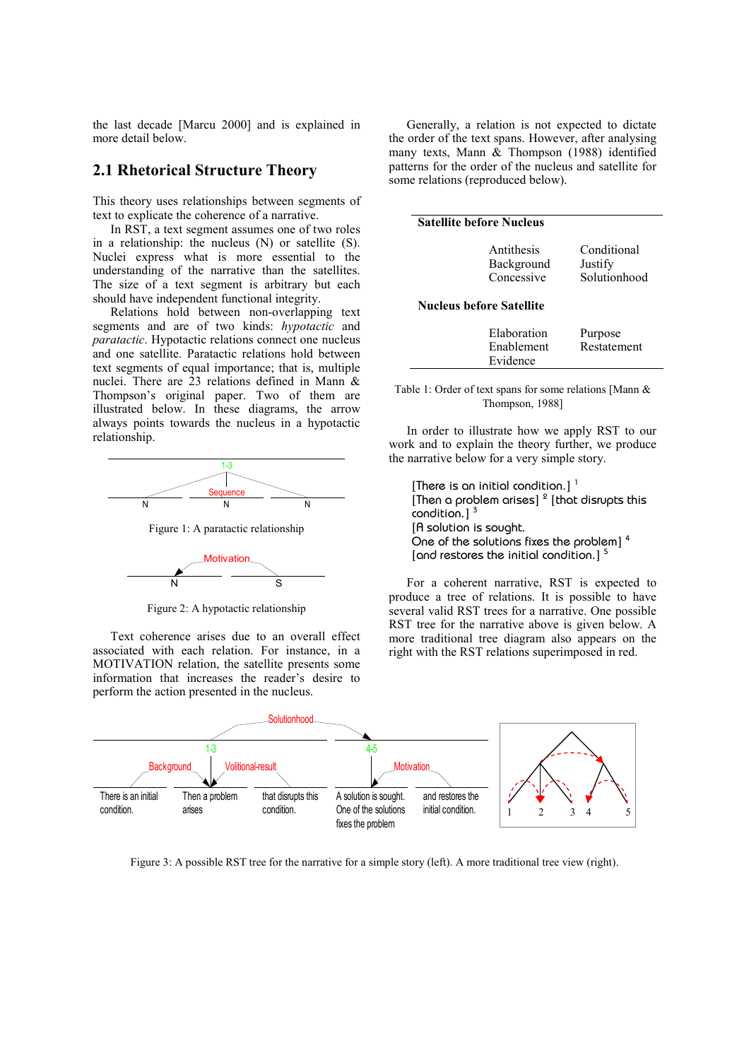the last decade [Marcu 2000] and is explained in more detail below.

#### 2.1 Rhetorical Structure Theory

This theory uses relationships between segments of text to explicate the coherence of a narrative.

In RST, a text segment assumes one of two roles in a relationship: the nucleus (N) or satellite (S). Nuclei express what is more essential to the understanding of the narrative than the satellites. The size of a text segment is arbitrary but each should have independent functional integrity.

Relations hold between non-overlapping text segments and are of two kinds: hypotactic and paratactic. Hypotactic relations connect one nucleus and one satellite. Paratactic relations hold between text segments of equal importance; that is, multiple nuclei. There are 23 relations defined in Mann & Thompson's original paper. Two of them are illustrated below. In these diagrams, the arrow always points towards the nucleus in a hypotactic relationship.



Figure 1: A paratactic relationship



Figure 2: A hypotactic relationship

Text coherence arises due to an overall effect associated with each relation. For instance, in a MOTIVATION relation, the satellite presents some information that increases the reader's desire to perform the action presented in the nucleus.

Generally, a relation is not expected to dictate the order of the text spans. However, after analysing many texts, Mann & Thompson (1988) identified patterns for the order of the nucleus and satellite for some relations (reproduced below).

| <b>Satellite before Nucleus</b> |                                        |                                        |  |  |
|---------------------------------|----------------------------------------|----------------------------------------|--|--|
|                                 | Antithesis<br>Background<br>Concessive | Conditional<br>Justify<br>Solutionhood |  |  |
| <b>Nucleus before Satellite</b> |                                        |                                        |  |  |
|                                 | Elaboration<br>Enablement<br>Evidence  | Purpose<br>Restatement                 |  |  |

| Table 1: Order of text spans for some relations [Mann $\&$ |  |  |
|------------------------------------------------------------|--|--|
| Thompson, 1988]                                            |  |  |

In order to illustrate how we apply RST to our work and to explain the theory further, we produce the narrative below for a very simple story.

[There is an initial condition.]  $<sup>1</sup>$ </sup> [Then a problem arises]  $2$  [that disrupts this condition.] $<sup>3</sup>$ </sup> [A solution is sought. One of the solutions fixes the problem] <sup>4</sup> [and restores the initial condition.]<sup>5</sup>

For a coherent narrative, RST is expected to produce a tree of relations. It is possible to have several valid RST trees for a narrative. One possible RST tree for the narrative above is given below. A more traditional tree diagram also appears on the right with the RST relations superimposed in red.



Figure 3: A possible RST tree for the narrative for a simple story (left). A more traditional tree view (right).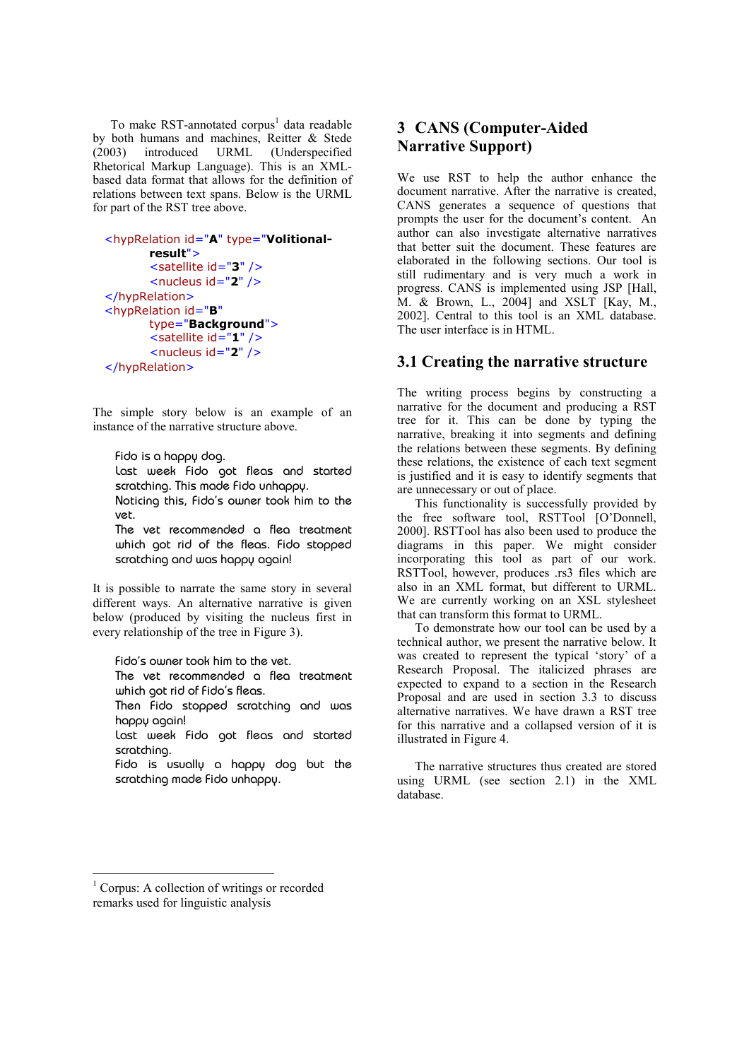To make RST-annotated corpus<sup>1</sup> data readable by both humans and machines, Reitter & Stede<br>(2003) introduced URML (Underspecified (2003) introduced URML (Underspecified Rhetorical Markup Language). This is an XMLbased data format that allows for the definition of relations between text spans. Below is the URML for part of the RST tree above.

```
<hypRelation id="A" type="Volitional-
        result">
        <satellite id="3" />
        \leqnucleus id="2" />
</hypRelation>
<hypRelation id="B"
        type="Background">
        \overline{\phantom{a}} <satellite id="1" />
         <nucleus id="2" /> 
</hypRelation>
```
The simple story below is an example of an instance of the narrative structure above.

Fido is a happy dog. Last week Fido got fleas and started scratching. This made Fido unhappy. Noticing this, Fido's owner took him to the vet. The vet recommended a flea treatment

which got rid of the fleas. Fido stopped scratching and was happy again!

It is possible to narrate the same story in several different ways. An alternative narrative is given below (produced by visiting the nucleus first in every relationship of the tree in Figure 3).

Fido's owner took him to the vet.

The vet recommended a flea treatment which got rid of Fido's fleas.

Then Fido stopped scratching and was happy again!

Last week Fido got fleas and started scratching.

Fido is usually a happy dog but the scratching made Fido unhappy.

# 3 CANS (Computer-Aided Narrative Support)

We use RST to help the author enhance the document narrative. After the narrative is created, CANS generates a sequence of questions that prompts the user for the document's content. An author can also investigate alternative narratives that better suit the document. These features are elaborated in the following sections. Our tool is still rudimentary and is very much a work in progress. CANS is implemented using JSP [Hall, M. & Brown, L., 2004] and XSLT [Kay, M., 2002]. Central to this tool is an XML database. The user interface is in HTML.

## 3.1 Creating the narrative structure

The writing process begins by constructing a narrative for the document and producing a RST tree for it. This can be done by typing the narrative, breaking it into segments and defining the relations between these segments. By defining these relations, the existence of each text segment is justified and it is easy to identify segments that are unnecessary or out of place.

This functionality is successfully provided by the free software tool, RSTTool [O'Donnell, 2000]. RSTTool has also been used to produce the diagrams in this paper. We might consider incorporating this tool as part of our work. RSTTool, however, produces .rs3 files which are also in an XML format, but different to URML. We are currently working on an XSL stylesheet that can transform this format to URML.

To demonstrate how our tool can be used by a technical author, we present the narrative below. It was created to represent the typical 'story' of a Research Proposal. The italicized phrases are expected to expand to a section in the Research Proposal and are used in section 3.3 to discuss alternative narratives. We have drawn a RST tree for this narrative and a collapsed version of it is illustrated in Figure 4.

The narrative structures thus created are stored using URML (see section 2.1) in the XML database.

 $\overline{a}$ 

<sup>&</sup>lt;sup>1</sup> Corpus: A collection of writings or recorded remarks used for linguistic analysis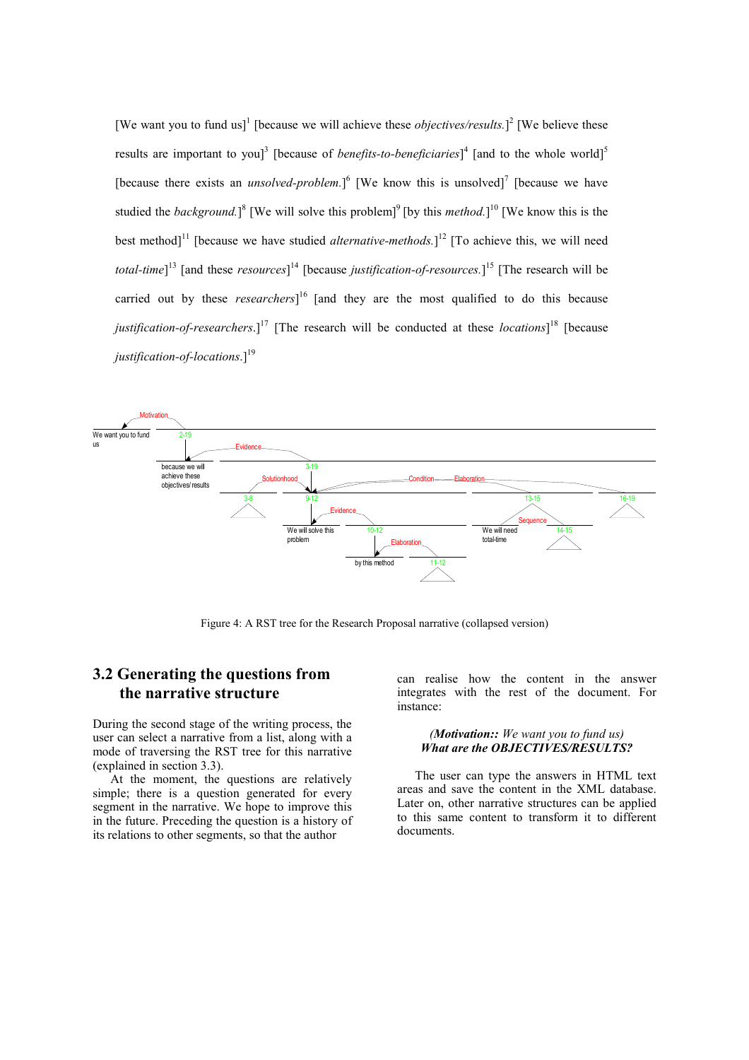[We want you to fund us]<sup>1</sup> [because we will achieve these *objectives/results*.]<sup>2</sup> [We believe these results are important to you]<sup>3</sup> [because of *benefits-to-beneficiaries*]<sup>4</sup> [and to the whole world]<sup>5</sup> [because there exists an *unsolved-problem*.]<sup>6</sup> [We know this is unsolved]<sup>7</sup> [because we have studied the *background*.]<sup>8</sup> [We will solve this problem]<sup>9</sup> [by this *method*.]<sup>10</sup> [We know this is the best method]<sup>11</sup> [because we have studied *alternative-methods*.]<sup>12</sup> [To achieve this, we will need *total-time*]<sup>13</sup> [and these *resources*]<sup>14</sup> [because *justification-of-resources*.]<sup>15</sup> [The research will be carried out by these *researchers*]<sup>16</sup> [and they are the most qualified to do this because justification-of-researchers.]<sup>17</sup> [The research will be conducted at these *locations*]<sup>18</sup> [because justification-of-locations. $]^{19}$ 



Figure 4: A RST tree for the Research Proposal narrative (collapsed version)

# 3.2 Generating the questions from the narrative structure

During the second stage of the writing process, the user can select a narrative from a list, along with a mode of traversing the RST tree for this narrative (explained in section 3.3).

At the moment, the questions are relatively simple; there is a question generated for every segment in the narrative. We hope to improve this in the future. Preceding the question is a history of its relations to other segments, so that the author

can realise how the content in the answer integrates with the rest of the document. For instance:

#### (Motivation:: We want you to fund us) What are the OBJECTIVES/RESULTS?

The user can type the answers in HTML text areas and save the content in the XML database. Later on, other narrative structures can be applied to this same content to transform it to different documents.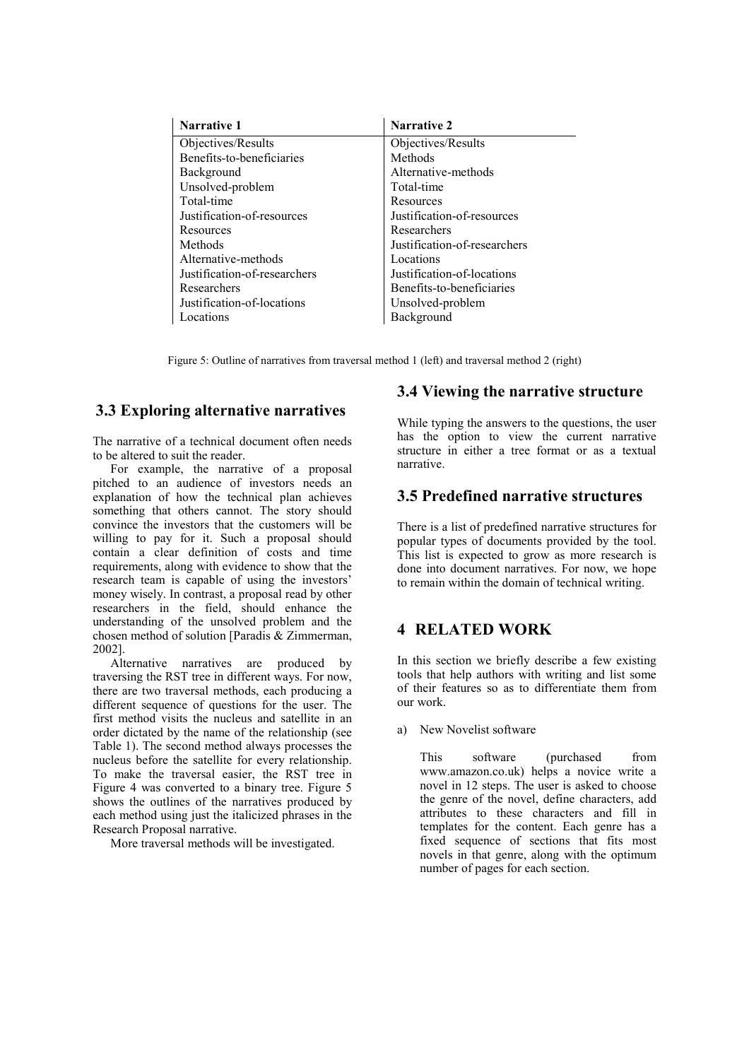| <b>Narrative 1</b>           | <b>Narrative 2</b>           |
|------------------------------|------------------------------|
| Objectives/Results           | Objectives/Results           |
| Benefits-to-beneficiaries    | Methods                      |
| Background                   | Alternative-methods          |
| Unsolved-problem             | Total-time                   |
| Total-time                   | Resources                    |
| Justification-of-resources   | Justification-of-resources   |
| Resources                    | Researchers                  |
| Methods                      | Justification-of-researchers |
| Alternative-methods          | Locations                    |
| Justification-of-researchers | Justification-of-locations   |
| Researchers                  | Benefits-to-beneficiaries    |
| Justification-of-locations   | Unsolved-problem             |
| Locations                    | Background                   |

Figure 5: Outline of narratives from traversal method 1 (left) and traversal method 2 (right)

# 3.3 Exploring alternative narratives

The narrative of a technical document often needs to be altered to suit the reader.

For example, the narrative of a proposal pitched to an audience of investors needs an explanation of how the technical plan achieves something that others cannot. The story should convince the investors that the customers will be willing to pay for it. Such a proposal should contain a clear definition of costs and time requirements, along with evidence to show that the research team is capable of using the investors' money wisely. In contrast, a proposal read by other researchers in the field, should enhance the understanding of the unsolved problem and the chosen method of solution [Paradis & Zimmerman, 2002].

Alternative narratives are produced by traversing the RST tree in different ways. For now, there are two traversal methods, each producing a different sequence of questions for the user. The first method visits the nucleus and satellite in an order dictated by the name of the relationship (see Table 1). The second method always processes the nucleus before the satellite for every relationship. To make the traversal easier, the RST tree in Figure 4 was converted to a binary tree. Figure 5 shows the outlines of the narratives produced by each method using just the italicized phrases in the Research Proposal narrative.

More traversal methods will be investigated.

# 3.4 Viewing the narrative structure

While typing the answers to the questions, the user has the option to view the current narrative structure in either a tree format or as a textual narrative.

## 3.5 Predefined narrative structures

There is a list of predefined narrative structures for popular types of documents provided by the tool. This list is expected to grow as more research is done into document narratives. For now, we hope to remain within the domain of technical writing.

## 4 RELATED WORK

In this section we briefly describe a few existing tools that help authors with writing and list some of their features so as to differentiate them from our work.

a) New Novelist software

 This software (purchased from www.amazon.co.uk) helps a novice write a novel in 12 steps. The user is asked to choose the genre of the novel, define characters, add attributes to these characters and fill in templates for the content. Each genre has a fixed sequence of sections that fits most novels in that genre, along with the optimum number of pages for each section.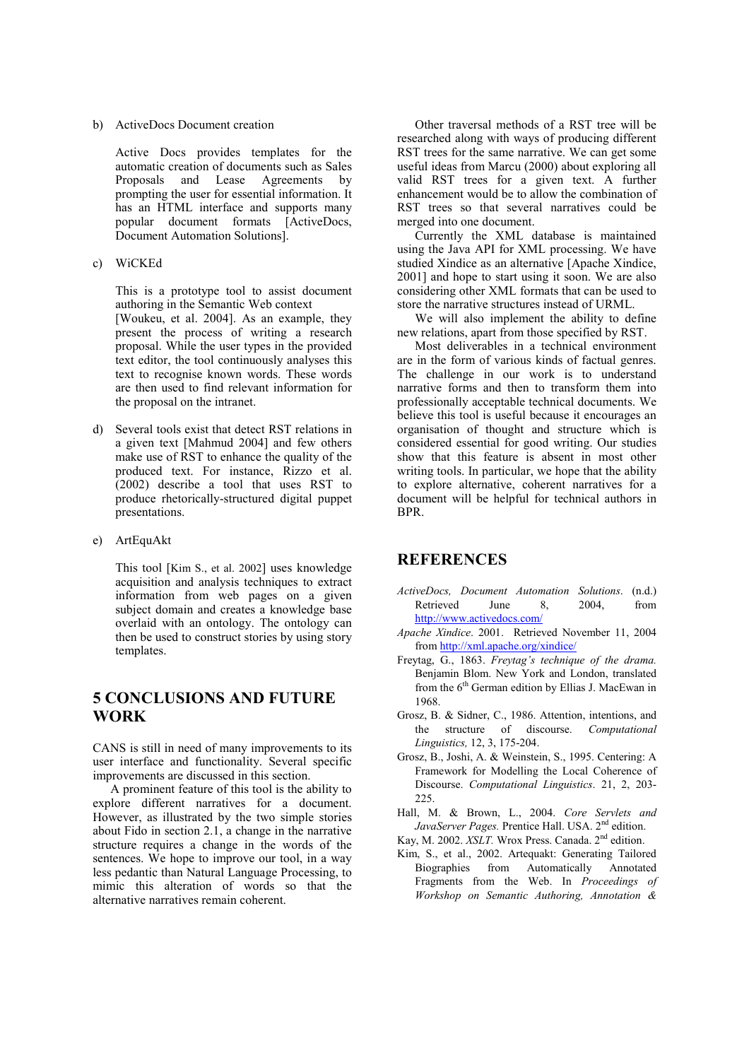b) ActiveDocs Document creation

 Active Docs provides templates for the automatic creation of documents such as Sales Proposals and Lease Agreements by prompting the user for essential information. It has an HTML interface and supports many popular document formats [ActiveDocs, Document Automation Solutions].

c) WiCKEd

 This is a prototype tool to assist document authoring in the Semantic Web context [Woukeu, et al. 2004]. As an example, they present the process of writing a research proposal. While the user types in the provided text editor, the tool continuously analyses this text to recognise known words. These words are then used to find relevant information for the proposal on the intranet.

- d) Several tools exist that detect RST relations in a given text [Mahmud 2004] and few others make use of RST to enhance the quality of the produced text. For instance, Rizzo et al. (2002) describe a tool that uses RST to produce rhetorically-structured digital puppet presentations.
- e) ArtEquAkt

This tool [Kim S., et al. 2002] uses knowledge acquisition and analysis techniques to extract information from web pages on a given subject domain and creates a knowledge base overlaid with an ontology. The ontology can then be used to construct stories by using story templates.

# 5 CONCLUSIONS AND FUTURE WORK

CANS is still in need of many improvements to its user interface and functionality. Several specific improvements are discussed in this section.

A prominent feature of this tool is the ability to explore different narratives for a document. However, as illustrated by the two simple stories about Fido in section 2.1, a change in the narrative structure requires a change in the words of the sentences. We hope to improve our tool, in a way less pedantic than Natural Language Processing, to mimic this alteration of words so that the alternative narratives remain coherent.

Other traversal methods of a RST tree will be researched along with ways of producing different RST trees for the same narrative. We can get some useful ideas from Marcu (2000) about exploring all valid RST trees for a given text. A further enhancement would be to allow the combination of RST trees so that several narratives could be merged into one document.

Currently the XML database is maintained using the Java API for XML processing. We have studied Xindice as an alternative [Apache Xindice, 2001] and hope to start using it soon. We are also considering other XML formats that can be used to store the narrative structures instead of URML.

We will also implement the ability to define new relations, apart from those specified by RST.

Most deliverables in a technical environment are in the form of various kinds of factual genres. The challenge in our work is to understand narrative forms and then to transform them into professionally acceptable technical documents. We believe this tool is useful because it encourages an organisation of thought and structure which is considered essential for good writing. Our studies show that this feature is absent in most other writing tools. In particular, we hope that the ability to explore alternative, coherent narratives for a document will be helpful for technical authors in BPR.

## **REFERENCES**

- ActiveDocs, Document Automation Solutions. (n.d.) Retrieved June 8, 2004, from http://www.activedocs.com/
- Apache Xindice. 2001. Retrieved November 11, 2004 from http://xml.apache.org/xindice/
- Freytag, G., 1863. Freytag's technique of the drama. Benjamin Blom. New York and London, translated from the 6<sup>th</sup> German edition by Ellias J. MacEwan in 1968.
- Grosz, B. & Sidner, C., 1986. Attention, intentions, and the structure of discourse. Computational Linguistics, 12, 3, 175-204.
- Grosz, B., Joshi, A. & Weinstein, S., 1995. Centering: A Framework for Modelling the Local Coherence of Discourse. Computational Linguistics. 21, 2, 203- 225.
- Hall, M. & Brown, L., 2004. Core Servlets and JavaServer Pages. Prentice Hall. USA. 2<sup>nd</sup> edition.
- Kay, M. 2002. XSLT. Wrox Press. Canada. 2<sup>nd</sup> edition.
- Kim, S., et al., 2002. Artequakt: Generating Tailored Biographies from Automatically Annotated Fragments from the Web. In Proceedings of Workshop on Semantic Authoring, Annotation &